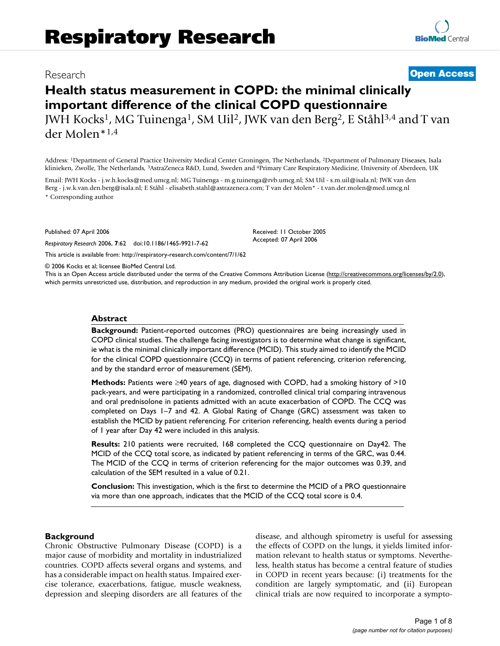# Research **[Open Access](http://www.biomedcentral.com/info/about/charter/)**

**[BioMed](http://www.biomedcentral.com/)** Central

# **Health status measurement in COPD: the minimal clinically important difference of the clinical COPD questionnaire** JWH Kocks1, MG Tuinenga1, SM Uil2, JWK van den Berg2, E Ståhl3,4 and T van

der Molen\*1,4

Address: 1Department of General Practice University Medical Center Groningen, The Netherlands, 2Department of Pulmonary Diseases, Isala klinieken, Zwolle, The Netherlands, 3AstraZeneca R&D, Lund, Sweden and 4Primary Care Respiratory Medicine, University of Aberdeen, UK

Email: JWH Kocks - j.w.h.kocks@med.umcg.nl; MG Tuinenga - m.g.tuinenga@rvb.umcg.nl; SM Uil - s.m.uil@isala.nl; JWK van den Berg - j.w.k.van.den.berg@isala.nl; E Ståhl - elisabeth.stahl@astrazeneca.com; T van der Molen\* - t.van.der.molen@med.umcg.nl \* Corresponding author

Published: 07 April 2006

*Respiratory Research* 2006, **7**:62 doi:10.1186/1465-9921-7-62

[This article is available from: http://respiratory-research.com/content/7/1/62](http://respiratory-research.com/content/7/1/62)

© 2006 Kocks et al; licensee BioMed Central Ltd.

This is an Open Access article distributed under the terms of the Creative Commons Attribution License [\(http://creativecommons.org/licenses/by/2.0\)](http://creativecommons.org/licenses/by/2.0), which permits unrestricted use, distribution, and reproduction in any medium, provided the original work is properly cited.

Received: 11 October 2005 Accepted: 07 April 2006

#### **Abstract**

**Background:** Patient-reported outcomes (PRO) questionnaires are being increasingly used in COPD clinical studies. The challenge facing investigators is to determine what change is significant, ie what is the minimal clinically important difference (MCID). This study aimed to identify the MCID for the clinical COPD questionnaire (CCQ) in terms of patient referencing, criterion referencing, and by the standard error of measurement (SEM).

**Methods:** Patients were ≥40 years of age, diagnosed with COPD, had a smoking history of >10 pack-years, and were participating in a randomized, controlled clinical trial comparing intravenous and oral prednisolone in patients admitted with an acute exacerbation of COPD. The CCQ was completed on Days 1–7 and 42. A Global Rating of Change (GRC) assessment was taken to establish the MCID by patient referencing. For criterion referencing, health events during a period of 1 year after Day 42 were included in this analysis.

**Results:** 210 patients were recruited, 168 completed the CCQ questionnaire on Day42. The MCID of the CCQ total score, as indicated by patient referencing in terms of the GRC, was 0.44. The MCID of the CCQ in terms of criterion referencing for the major outcomes was 0.39, and calculation of the SEM resulted in a value of 0.21.

**Conclusion:** This investigation, which is the first to determine the MCID of a PRO questionnaire via more than one approach, indicates that the MCID of the CCQ total score is 0.4.

#### **Background**

Chronic Obstructive Pulmonary Disease (COPD) is a major cause of morbidity and mortality in industrialized countries. COPD affects several organs and systems, and has a considerable impact on health status. Impaired exercise tolerance, exacerbations, fatigue, muscle weakness, depression and sleeping disorders are all features of the disease, and although spirometry is useful for assessing the effects of COPD on the lungs, it yields limited information relevant to health status or symptoms. Nevertheless, health status has become a central feature of studies in COPD in recent years because: (i) treatments for the condition are largely symptomatic, and (ii) European clinical trials are now required to incorporate a sympto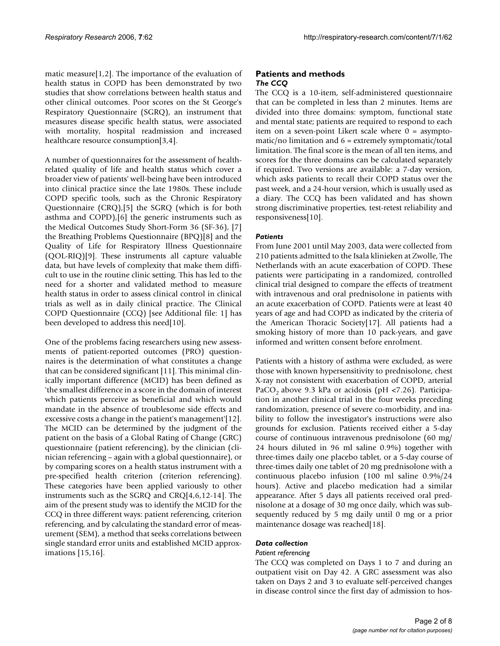matic measure[1,2]. The importance of the evaluation of health status in COPD has been demonstrated by two studies that show correlations between health status and other clinical outcomes. Poor scores on the St George's Respiratory Questionnaire (SGRQ), an instrument that measures disease specific health status, were associated with mortality, hospital readmission and increased healthcare resource consumption[3,4].

A number of questionnaires for the assessment of healthrelated quality of life and health status which cover a broader view of patients' well-being have been introduced into clinical practice since the late 1980s. These include COPD specific tools, such as the Chronic Respiratory Questionnaire (CRQ),[5] the SGRQ (which is for both asthma and COPD),[6] the generic instruments such as the Medical Outcomes Study Short-Form 36 (SF-36), [7] the Breathing Problems Questionnaire (BPQ)[8] and the Quality of Life for Respiratory Illness Questionnaire (QOL-RIQ)[9]. These instruments all capture valuable data, but have levels of complexity that make them difficult to use in the routine clinic setting. This has led to the need for a shorter and validated method to measure health status in order to assess clinical control in clinical trials as well as in daily clinical practice. The Clinical COPD Questionnaire (CCQ) [see Additional file: 1] has been developed to address this need[10].

One of the problems facing researchers using new assessments of patient-reported outcomes (PRO) questionnaires is the determination of what constitutes a change that can be considered significant [11]. This minimal clinically important difference (MCID) has been defined as 'the smallest difference in a score in the domain of interest which patients perceive as beneficial and which would mandate in the absence of troublesome side effects and excessive costs a change in the patient's management'[12]. The MCID can be determined by the judgment of the patient on the basis of a Global Rating of Change (GRC) questionnaire (patient referencing), by the clinician (clinician referencing – again with a global questionnaire), or by comparing scores on a health status instrument with a pre-specified health criterion (criterion referencing). These categories have been applied variously to other instruments such as the SGRQ and CRQ[4,6,12-14]. The aim of the present study was to identify the MCID for the CCQ in three different ways: patient referencing, criterion referencing, and by calculating the standard error of measurement (SEM), a method that seeks correlations between single standard error units and established MCID approximations [15,16].

### **Patients and methods** *The CCQ*

The CCQ is a 10-item, self-administered questionnaire that can be completed in less than 2 minutes. Items are divided into three domains: symptom, functional state and mental state; patients are required to respond to each item on a seven-point Likert scale where  $0 =$  asymptomatic/no limitation and  $6 =$  extremely symptomatic/total limitation. The final score is the mean of all ten items, and scores for the three domains can be calculated separately if required. Two versions are available: a 7-day version, which asks patients to recall their COPD status over the past week, and a 24-hour version, which is usually used as a diary. The CCQ has been validated and has shown strong discriminative properties, test-retest reliability and responsiveness[10].

#### *Patients*

From June 2001 until May 2003, data were collected from 210 patients admitted to the Isala klinieken at Zwolle, The Netherlands with an acute exacerbation of COPD. These patients were participating in a randomized, controlled clinical trial designed to compare the effects of treatment with intravenous and oral prednisolone in patients with an acute exacerbation of COPD. Patients were at least 40 years of age and had COPD as indicated by the criteria of the American Thoracic Society[17]. All patients had a smoking history of more than 10 pack-years, and gave informed and written consent before enrolment.

Patients with a history of asthma were excluded, as were those with known hypersensitivity to prednisolone, chest X-ray not consistent with exacerbation of COPD, arterial PaCO<sub>2</sub> above 9.3 kPa or acidosis (pH <7.26). Participation in another clinical trial in the four weeks preceding randomization, presence of severe co-morbidity, and inability to follow the investigator's instructions were also grounds for exclusion. Patients received either a 5-day course of continuous intravenous prednisolone (60 mg/ 24 hours diluted in 96 ml saline 0.9%) together with three-times daily one placebo tablet, or a 5-day course of three-times daily one tablet of 20 mg prednisolone with a continuous placebo infusion (100 ml saline 0.9%/24 hours). Active and placebo medication had a similar appearance. After 5 days all patients received oral prednisolone at a dosage of 30 mg once daily, which was subsequently reduced by 5 mg daily until 0 mg or a prior maintenance dosage was reached[18].

# *Data collection*

#### *Patient referencing*

The CCQ was completed on Days 1 to 7 and during an outpatient visit on Day 42. A GRC assessment was also taken on Days 2 and 3 to evaluate self-perceived changes in disease control since the first day of admission to hos-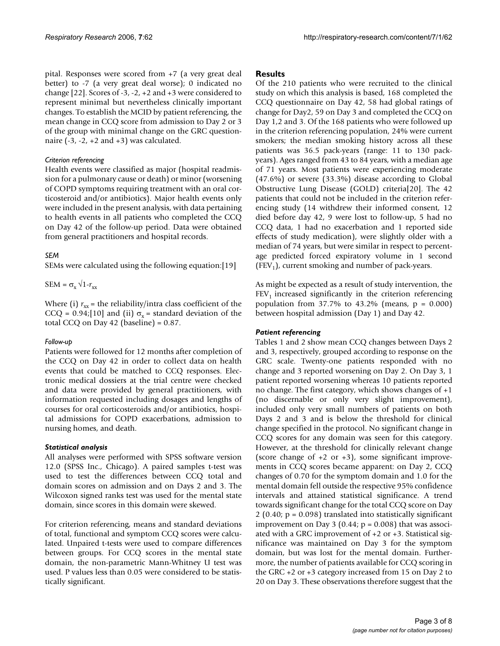pital. Responses were scored from +7 (a very great deal better) to -7 (a very great deal worse); 0 indicated no change [22]. Scores of -3, -2, +2 and +3 were considered to represent minimal but nevertheless clinically important changes. To establish the MCID by patient referencing, the mean change in CCQ score from admission to Day 2 or 3 of the group with minimal change on the GRC questionnaire  $(-3, -2, +2, -1)$  was calculated.

### *Criterion referencing*

Health events were classified as major (hospital readmission for a pulmonary cause or death) or minor (worsening of COPD symptoms requiring treatment with an oral corticosteroid and/or antibiotics). Major health events only were included in the present analysis, with data pertaining to health events in all patients who completed the CCQ on Day 42 of the follow-up period. Data were obtained from general practitioners and hospital records.

# *SEM*

SEMs were calculated using the following equation:[19]

 $SEM = \sigma_x \sqrt{1-r_{xx}}$ 

Where (i)  $r_{xx}$  = the reliability/intra class coefficient of the CCQ = 0.94;[10] and (ii)  $\sigma_x$  = standard deviation of the total CCQ on Day 42 (baseline) = 0.87.

#### *Follow-up*

Patients were followed for 12 months after completion of the CCQ on Day 42 in order to collect data on health events that could be matched to CCQ responses. Electronic medical dossiers at the trial centre were checked and data were provided by general practitioners, with information requested including dosages and lengths of courses for oral corticosteroids and/or antibiotics, hospital admissions for COPD exacerbations, admission to nursing homes, and death.

# *Statistical analysis*

All analyses were performed with SPSS software version 12.0 (SPSS Inc., Chicago). A paired samples t-test was used to test the differences between CCQ total and domain scores on admission and on Days 2 and 3. The Wilcoxon signed ranks test was used for the mental state domain, since scores in this domain were skewed.

For criterion referencing, means and standard deviations of total, functional and symptom CCQ scores were calculated. Unpaired t-tests were used to compare differences between groups. For CCQ scores in the mental state domain, the non-parametric Mann-Whitney U test was used. P values less than 0.05 were considered to be statistically significant.

# **Results**

Of the 210 patients who were recruited to the clinical study on which this analysis is based, 168 completed the CCQ questionnaire on Day 42, 58 had global ratings of change for Day2, 59 on Day 3 and completed the CCQ on Day 1,2 and 3. Of the 168 patients who were followed up in the criterion referencing population, 24% were current smokers; the median smoking history across all these patients was 36.5 pack-years (range: 11 to 130 packyears). Ages ranged from 43 to 84 years, with a median age of 71 years. Most patients were experiencing moderate (47.6%) or severe (33.3%) disease according to Global Obstructive Lung Disease (GOLD) criteria[20]. The 42 patients that could not be included in the criterion referencing study (14 withdrew their informed consent, 12 died before day 42, 9 were lost to follow-up, 5 had no CCQ data, 1 had no exacerbation and 1 reported side effects of study medication), were slightly older with a median of 74 years, but were similar in respect to percentage predicted forced expiratory volume in 1 second  $(FEV<sub>1</sub>)$ , current smoking and number of pack-years.

As might be expected as a result of study intervention, the  $FEV<sub>1</sub>$  increased significantly in the criterion referencing population from 37.7% to 43.2% (means,  $p = 0.000$ ) between hospital admission (Day 1) and Day 42.

# *Patient referencing*

Tables 1 and 2 show mean CCQ changes between Days 2 and 3, respectively, grouped according to response on the GRC scale. Twenty-one patients responded with no change and 3 reported worsening on Day 2. On Day 3, 1 patient reported worsening whereas 10 patients reported no change. The first category, which shows changes of +1 (no discernable or only very slight improvement), included only very small numbers of patients on both Days 2 and 3 and is below the threshold for clinical change specified in the protocol. No significant change in CCQ scores for any domain was seen for this category. However, at the threshold for clinically relevant change (score change of  $+2$  or  $+3$ ), some significant improvements in CCQ scores became apparent: on Day 2, CCQ changes of 0.70 for the symptom domain and 1.0 for the mental domain fell outside the respective 95% confidence intervals and attained statistical significance. A trend towards significant change for the total CCQ score on Day 2 (0.40;  $p = 0.098$ ) translated into statistically significant improvement on Day 3 (0.44;  $p = 0.008$ ) that was associated with a GRC improvement of +2 or +3. Statistical significance was maintained on Day 3 for the symptom domain, but was lost for the mental domain. Furthermore, the number of patients available for CCQ scoring in the GRC +2 or +3 category increased from 15 on Day 2 to 20 on Day 3. These observations therefore suggest that the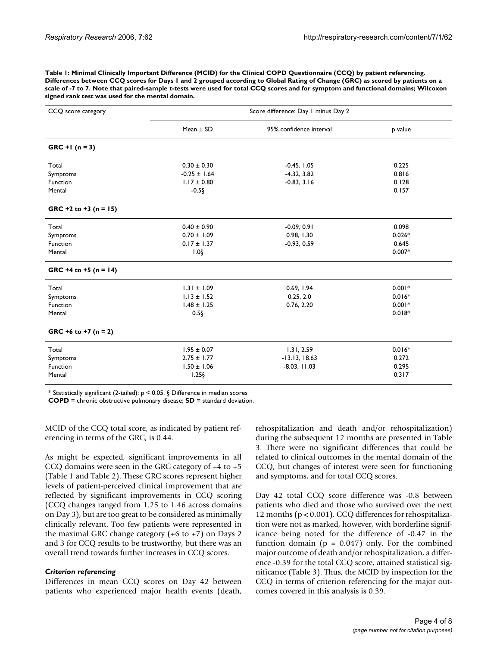**Table 1: Minimal Clinically Important Difference (MCID) for the Clinical COPD Questionnaire (CCQ) by patient referencing. Differences between CCQ scores for Days 1 and 2 grouped according to Global Rating of Change (GRC) as scored by patients on a scale of -7 to 7. Note that paired-sample t-tests were used for total CCQ scores and for symptom and functional domains; Wilcoxon signed rank test was used for the mental domain.**

| CCQ score category        | Score difference: Day 1 minus Day 2 |                         |          |  |
|---------------------------|-------------------------------------|-------------------------|----------|--|
|                           | Mean $\pm$ SD                       | 95% confidence interval | p value  |  |
| $GRC + 1 (n = 3)$         |                                     |                         |          |  |
| Total                     | $0.30 \pm 0.30$                     | $-0.45, 1.05$           | 0.225    |  |
| Symptoms                  | $-0.25 \pm 1.64$                    | $-4.32, 3.82$           | 0.816    |  |
| Function                  | $1.17 \pm 0.80$                     | $-0.83, 3.16$           | 0.128    |  |
| Mental                    | $-0.5\S$                            |                         | 0.157    |  |
| GRC +2 to +3 ( $n = 15$ ) |                                     |                         |          |  |
| Total                     | $0.40 \pm 0.90$                     | $-0.09, 0.91$           | 0.098    |  |
| Symptoms                  | $0.70 \pm 1.09$                     | 0.98, 1.30              | $0.026*$ |  |
| Function                  | $0.17 \pm 1.37$                     | $-0.93, 0.59$           | 0.645    |  |
| Mental                    | $1.0$ §                             |                         | $0.007*$ |  |
| GRC +4 to +5 ( $n = 14$ ) |                                     |                         |          |  |
| Total                     | $1.31 \pm 1.09$                     | 0.69, 1.94              | $0.001*$ |  |
| Symptoms                  | $1.13 \pm 1.52$                     | 0.25, 2.0               | $0.016*$ |  |
| Function                  | $1.48 \pm 1.25$                     | 0.76, 2.20              | $0.001*$ |  |
| Mental                    | $0.5\S$                             |                         | $0.018*$ |  |
| GRC +6 to +7 ( $n = 2$ )  |                                     |                         |          |  |
| Total                     | $1.95 \pm 0.07$                     | 1.31, 2.59              | $0.016*$ |  |
| Symptoms                  | $2.75 \pm 1.77$                     | $-13.13, 18.63$         | 0.272    |  |
| Function                  | $1.50 \pm 1.06$                     | $-8.03, 11.03$          | 0.295    |  |
| Mental                    | $1.25$ §                            |                         | 0.317    |  |

\* Statistically significant (2-tailed):  $p < 0.05$ . § Difference in median scores

**COPD** = chronic obstructive pulmonary disease; **SD** = standard deviation.

MCID of the CCQ total score, as indicated by patient referencing in terms of the GRC, is 0.44.

As might be expected, significant improvements in all CCQ domains were seen in the GRC category of  $+4$  to  $+5$ (Table 1 and Table 2). These GRC scores represent higher levels of patient-perceived clinical improvement that are reflected by significant improvements in CCQ scoring (CCQ changes ranged from 1.25 to 1.46 across domains on Day 3), but are too great to be considered as minimally clinically relevant. Too few patients were represented in the maximal GRC change category (+6 to +7) on Days 2 and 3 for CCQ results to be trustworthy, but there was an overall trend towards further increases in CCQ scores.

#### *Criterion referencing*

Differences in mean CCQ scores on Day 42 between patients who experienced major health events (death,

rehospitalization and death and/or rehospitalization) during the subsequent 12 months are presented in Table 3. There were no significant differences that could be related to clinical outcomes in the mental domain of the CCQ, but changes of interest were seen for functioning and symptoms, and for total CCQ scores.

Day 42 total CCQ score difference was -0.8 between patients who died and those who survived over the next 12 months (p < 0.001). CCQ differences for rehospitalization were not as marked, however, with borderline significance being noted for the difference of -0.47 in the function domain ( $p = 0.047$ ) only. For the combined major outcome of death and/or rehospitalization, a difference -0.39 for the total CCQ score, attained statistical significance (Table 3). Thus, the MCID by inspection for the CCQ in terms of criterion referencing for the major outcomes covered in this analysis is 0.39.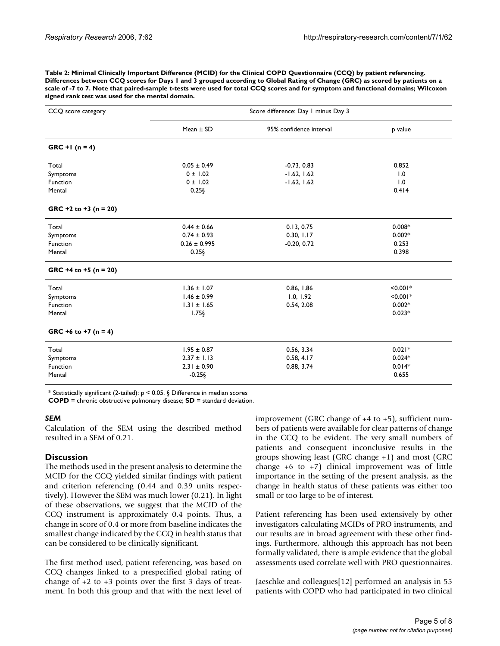**Table 2: Minimal Clinically Important Difference (MCID) for the Clinical COPD Questionnaire (CCQ) by patient referencing. Differences between CCQ scores for Days 1 and 3 grouped according to Global Rating of Change (GRC) as scored by patients on a scale of -7 to 7. Note that paired-sample t-tests were used for total CCQ scores and for symptom and functional domains; Wilcoxon signed rank test was used for the mental domain.**

| CCQ score category        | Score difference: Day 1 minus Day 3 |                         |            |  |
|---------------------------|-------------------------------------|-------------------------|------------|--|
|                           | Mean $\pm$ SD                       | 95% confidence interval | p value    |  |
| $GRC + 1 (n = 4)$         |                                     |                         |            |  |
| Total                     | $0.05 \pm 0.49$                     | $-0.73, 0.83$           | 0.852      |  |
| Symptoms                  | $0 \pm 1.02$                        | $-1.62, 1.62$           | 1.0        |  |
| Function                  | $0 \pm 1.02$                        | $-1.62, 1.62$           | 1.0        |  |
| Mental                    | 0.25                                |                         | 0.414      |  |
| GRC +2 to +3 ( $n = 20$ ) |                                     |                         |            |  |
| Total                     | $0.44 \pm 0.66$                     | 0.13, 0.75              | $0.008*$   |  |
| Symptoms                  | $0.74 \pm 0.93$                     | 0.30, 1.17              | $0.002*$   |  |
| Function                  | $0.26 \pm 0.995$                    | $-0.20, 0.72$           | 0.253      |  |
| Mental                    | $0.25\S$                            |                         | 0.398      |  |
| GRC +4 to +5 ( $n = 20$ ) |                                     |                         |            |  |
| Total                     | $1.36 \pm 1.07$                     | 0.86, 1.86              | $< 0.001*$ |  |
| Symptoms                  | $1.46 \pm 0.99$                     | 1.0, 1.92               | $< 0.001*$ |  |
| Function                  | $1.31 \pm 1.65$                     | 0.54, 2.08              | $0.002*$   |  |
| Mental                    | $1.75\S$                            |                         | $0.023*$   |  |
| GRC +6 to +7 ( $n = 4$ )  |                                     |                         |            |  |
| Total                     | $1.95 \pm 0.87$                     | 0.56, 3.34              | $0.021*$   |  |
| Symptoms                  | $2.37 \pm 1.13$                     | 0.58, 4.17              | $0.024*$   |  |
| Function                  | $2.31 \pm 0.90$                     | 0.88, 3.74              | $0.014*$   |  |
| Mental                    | $-0.25$ §                           |                         | 0.655      |  |

\* Statistically significant (2-tailed):  $p < 0.05$ . § Difference in median scores

**COPD** = chronic obstructive pulmonary disease; **SD** = standard deviation.

#### *SEM*

Calculation of the SEM using the described method resulted in a SEM of 0.21.

# **Discussion**

The methods used in the present analysis to determine the MCID for the CCQ yielded similar findings with patient and criterion referencing (0.44 and 0.39 units respectively). However the SEM was much lower (0.21). In light of these observations, we suggest that the MCID of the CCQ instrument is approximately 0.4 points. Thus, a change in score of 0.4 or more from baseline indicates the smallest change indicated by the CCQ in health status that can be considered to be clinically significant.

The first method used, patient referencing, was based on CCQ changes linked to a prespecified global rating of change of  $+2$  to  $+3$  points over the first 3 days of treatment. In both this group and that with the next level of improvement (GRC change of +4 to +5), sufficient numbers of patients were available for clear patterns of change in the CCQ to be evident. The very small numbers of patients and consequent inconclusive results in the groups showing least (GRC change +1) and most (GRC change  $+6$  to  $+7$ ) clinical improvement was of little importance in the setting of the present analysis, as the change in health status of these patients was either too small or too large to be of interest.

Patient referencing has been used extensively by other investigators calculating MCIDs of PRO instruments, and our results are in broad agreement with these other findings. Furthermore, although this approach has not been formally validated, there is ample evidence that the global assessments used correlate well with PRO questionnaires.

Jaeschke and colleagues[12] performed an analysis in 55 patients with COPD who had participated in two clinical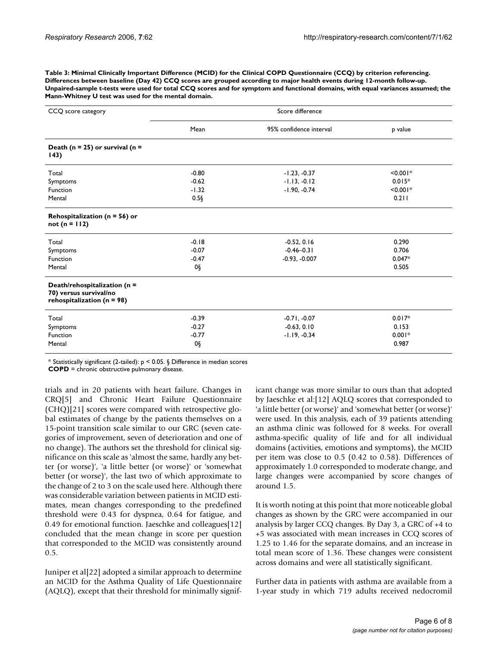**Table 3: Minimal Clinically Important Difference (MCID) for the Clinical COPD Questionnaire (CCQ) by criterion referencing. Differences between baseline (Day 42) CCQ scores are grouped according to major health events during 12-month follow-up. Unpaired-sample t-tests were used for total CCQ scores and for symptom and functional domains, with equal variances assumed; the Mann-Whitney U test was used for the mental domain.**

| CCQ score category                                                                       | Score difference |                         |            |  |
|------------------------------------------------------------------------------------------|------------------|-------------------------|------------|--|
|                                                                                          | Mean             | 95% confidence interval | p value    |  |
| Death ( $n = 25$ ) or survival ( $n =$<br>143)                                           |                  |                         |            |  |
| Total                                                                                    | $-0.80$          | $-1.23, -0.37$          | $< 0.001*$ |  |
| Symptoms                                                                                 | $-0.62$          | $-1.13, -0.12$          | $0.015*$   |  |
| Function                                                                                 | $-1.32$          | $-1.90, -0.74$          | $< 0.001*$ |  |
| Mental                                                                                   | $0.5\S$          |                         | 0.211      |  |
| Rehospitalization ( $n = 56$ ) or<br>$not (n = 112)$                                     |                  |                         |            |  |
| Total                                                                                    | $-0.18$          | $-0.52, 0.16$           | 0.290      |  |
| Symptoms                                                                                 | $-0.07$          | $-0.46 - 0.3$           | 0.706      |  |
| Function                                                                                 | $-0.47$          | $-0.93, -0.007$         | $0.047*$   |  |
| Mental                                                                                   | 0§               |                         | 0.505      |  |
| Death/rehospitalization (n =<br>70) versus survival/no<br>rehospitalization ( $n = 98$ ) |                  |                         |            |  |
| Total                                                                                    | $-0.39$          | $-0.71, -0.07$          | $0.017*$   |  |
| Symptoms                                                                                 | $-0.27$          | $-0.63, 0.10$           | 0.153      |  |
| Function                                                                                 | $-0.77$          | $-1.19, -0.34$          | $0.001*$   |  |
| Mental                                                                                   | 0§               |                         | 0.987      |  |

\* Statistically significant (2-tailed): p < 0.05. § Difference in median scores

**COPD** = chronic obstructive pulmonary disease.

trials and in 20 patients with heart failure. Changes in CRQ[5] and Chronic Heart Failure Questionnaire (CHQ)[21] scores were compared with retrospective global estimates of change by the patients themselves on a 15-point transition scale similar to our GRC (seven categories of improvement, seven of deterioration and one of no change). The authors set the threshold for clinical significance on this scale as 'almost the same, hardly any better (or worse)', 'a little better (or worse)' or 'somewhat better (or worse)', the last two of which approximate to the change of 2 to 3 on the scale used here. Although there was considerable variation between patients in MCID estimates, mean changes corresponding to the predefined threshold were 0.43 for dyspnea, 0.64 for fatigue, and 0.49 for emotional function. Jaeschke and colleagues[12] concluded that the mean change in score per question that corresponded to the MCID was consistently around 0.5.

Juniper et al[22] adopted a similar approach to determine an MCID for the Asthma Quality of Life Questionnaire (AQLQ), except that their threshold for minimally significant change was more similar to ours than that adopted by Jaeschke et al:[12] AQLQ scores that corresponded to 'a little better (or worse)' and 'somewhat better (or worse)' were used. In this analysis, each of 39 patients attending an asthma clinic was followed for 8 weeks. For overall asthma-specific quality of life and for all individual domains (activities, emotions and symptoms), the MCID per item was close to 0.5 (0.42 to 0.58). Differences of approximately 1.0 corresponded to moderate change, and large changes were accompanied by score changes of around 1.5.

It is worth noting at this point that more noticeable global changes as shown by the GRC were accompanied in our analysis by larger CCQ changes. By Day 3, a GRC of +4 to +5 was associated with mean increases in CCQ scores of 1.25 to 1.46 for the separate domains, and an increase in total mean score of 1.36. These changes were consistent across domains and were all statistically significant.

Further data in patients with asthma are available from a 1-year study in which 719 adults received nedocromil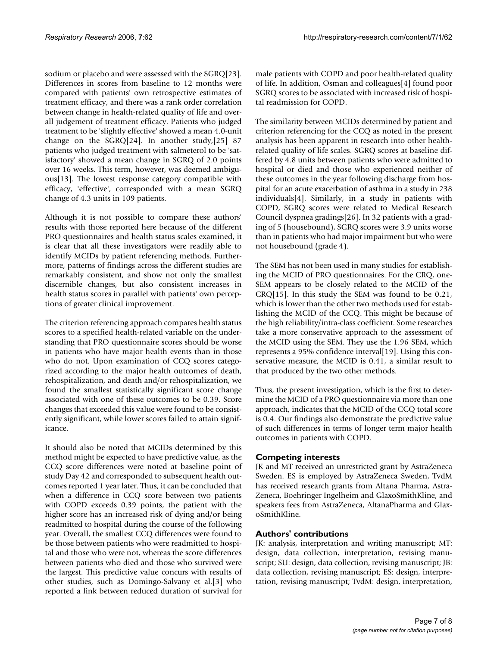sodium or placebo and were assessed with the SGRQ[23]. Differences in scores from baseline to 12 months were compared with patients' own retrospective estimates of treatment efficacy, and there was a rank order correlation between change in health-related quality of life and overall judgement of treatment efficacy. Patients who judged treatment to be 'slightly effective' showed a mean 4.0-unit change on the SGRQ[24]. In another study,[25] 87 patients who judged treatment with salmeterol to be 'satisfactory' showed a mean change in SGRQ of 2.0 points over 16 weeks. This term, however, was deemed ambiguous[13]. The lowest response category compatible with efficacy, 'effective', corresponded with a mean SGRQ change of 4.3 units in 109 patients.

Although it is not possible to compare these authors' results with those reported here because of the different PRO questionnaires and health status scales examined, it is clear that all these investigators were readily able to identify MCIDs by patient referencing methods. Furthermore, patterns of findings across the different studies are remarkably consistent, and show not only the smallest discernible changes, but also consistent increases in health status scores in parallel with patients' own perceptions of greater clinical improvement.

The criterion referencing approach compares health status scores to a specified health-related variable on the understanding that PRO questionnaire scores should be worse in patients who have major health events than in those who do not. Upon examination of CCQ scores categorized according to the major health outcomes of death, rehospitalization, and death and/or rehospitalization, we found the smallest statistically significant score change associated with one of these outcomes to be 0.39. Score changes that exceeded this value were found to be consistently significant, while lower scores failed to attain significance.

It should also be noted that MCIDs determined by this method might be expected to have predictive value, as the CCQ score differences were noted at baseline point of study Day 42 and corresponded to subsequent health outcomes reported 1 year later. Thus, it can be concluded that when a difference in CCQ score between two patients with COPD exceeds 0.39 points, the patient with the higher score has an increased risk of dying and/or being readmitted to hospital during the course of the following year. Overall, the smallest CCQ differences were found to be those between patients who were readmitted to hospital and those who were not, whereas the score differences between patients who died and those who survived were the largest. This predictive value concurs with results of other studies, such as Domingo-Salvany et al.[3] who reported a link between reduced duration of survival for

male patients with COPD and poor health-related quality of life. In addition, Osman and colleagues[4] found poor SGRQ scores to be associated with increased risk of hospital readmission for COPD.

The similarity between MCIDs determined by patient and criterion referencing for the CCQ as noted in the present analysis has been apparent in research into other healthrelated quality of life scales. SGRQ scores at baseline differed by 4.8 units between patients who were admitted to hospital or died and those who experienced neither of these outcomes in the year following discharge from hospital for an acute exacerbation of asthma in a study in 238 individuals[4]. Similarly, in a study in patients with COPD, SGRQ scores were related to Medical Research Council dyspnea gradings[26]. In 32 patients with a grading of 5 (housebound), SGRQ scores were 3.9 units worse than in patients who had major impairment but who were not housebound (grade 4).

The SEM has not been used in many studies for establishing the MCID of PRO questionnaires. For the CRQ, one-SEM appears to be closely related to the MCID of the CRQ[15]. In this study the SEM was found to be 0.21, which is lower than the other two methods used for establishing the MCID of the CCQ. This might be because of the high reliability/intra-class coefficient. Some researches take a more conservative approach to the assessment of the MCID using the SEM. They use the 1.96 SEM, which represents a 95% confidence interval[19]. Using this conservative measure, the MCID is 0.41, a similar result to that produced by the two other methods.

Thus, the present investigation, which is the first to determine the MCID of a PRO questionnaire via more than one approach, indicates that the MCID of the CCQ total score is 0.4. Our findings also demonstrate the predictive value of such differences in terms of longer term major health outcomes in patients with COPD.

# **Competing interests**

JK and MT received an unrestricted grant by AstraZeneca Sweden. ES is employed by AstraZeneca Sweden, TvdM has received research grants from Altana Pharma, Astra-Zeneca, Boehringer Ingelheim and GlaxoSmithKline, and speakers fees from AstraZeneca, AltanaPharma and GlaxoSmithKline.

# **Authors' contributions**

JK: analysis, interpretation and writing manuscript; MT: design, data collection, interpretation, revising manuscript; SU: design, data collection, revising manuscript; JB: data collection, revising manuscript; ES: design, interpretation, revising manuscript; TvdM: design, interpretation,